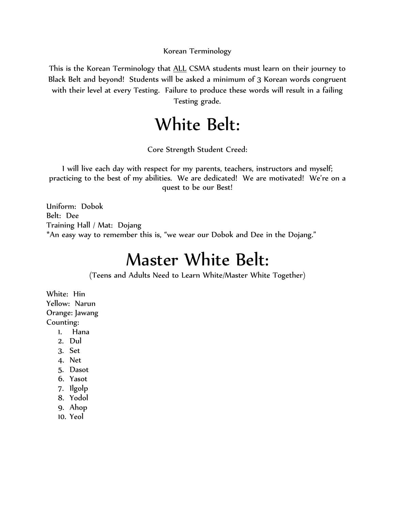Korean Terminology

This is the Korean Terminology that ALL CSMA students must learn on their journey to Black Belt and beyond! Students will be asked a minimum of 3 Korean words congruent with their level at every Testing. Failure to produce these words will result in a failing Testing grade.

## White Belt:

Core Strength Student Creed:

I will live each day with respect for my parents, teachers, instructors and myself; practicing to the best of my abilities. We are dedicated! We are motivated! We're on a quest to be our Best!

Uniform: Dobok Belt: Dee Training Hall / Mat: Dojang \*An easy way to remember this is, "we wear our Dobok and Dee in the Dojang."

### Master White Belt:

(Teens and Adults Need to Learn White/Master White Together)

White: Hin Yellow: Narun Orange: Jawang Counting:

- 1. Hana
- 2. Dul
- 3. Set
- 4. Net
- 5. Dasot
- 6. Yasot
- 7. Ilgolp
- 8. Yodol
- 9. Ahop
- 10. Yeol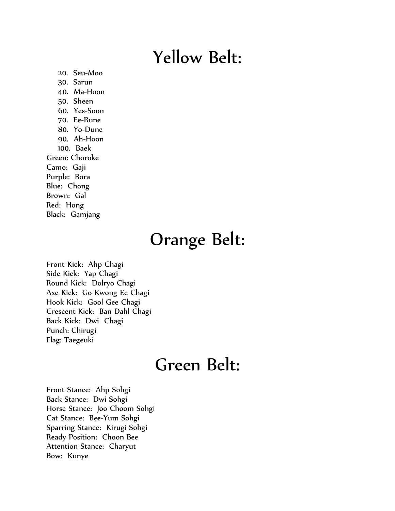## Yellow Belt:

20. Seu-Moo 30. Sarun 40. Ma-Hoon 50. Sheen 60. Yes-Soon 70. Ee-Rune 80. Yo-Dune 90. Ah-Hoon 100. Baek Green: Choroke Camo: Gaji Purple: Bora Blue: Chong Brown: Gal Red: Hong Black: Gamjang

# Orange Belt:

Front Kick: Ahp Chagi Side Kick: Yap Chagi Round Kick: Dolryo Chagi Axe Kick: Go Kwong Ee Chagi Hook Kick: Gool Gee Chagi Crescent Kick: Ban Dahl Chagi Back Kick: Dwi Chagi Punch: Chirugi Flag: Taegeuki

### Green Belt:

Front Stance: Ahp Sohgi Back Stance: Dwi Sohgi Horse Stance: Joo Choom Sohgi Cat Stance: Bee-Yum Sohgi Sparring Stance: Kirugi Sohgi Ready Position: Choon Bee Attention Stance: Charyut Bow: Kunye